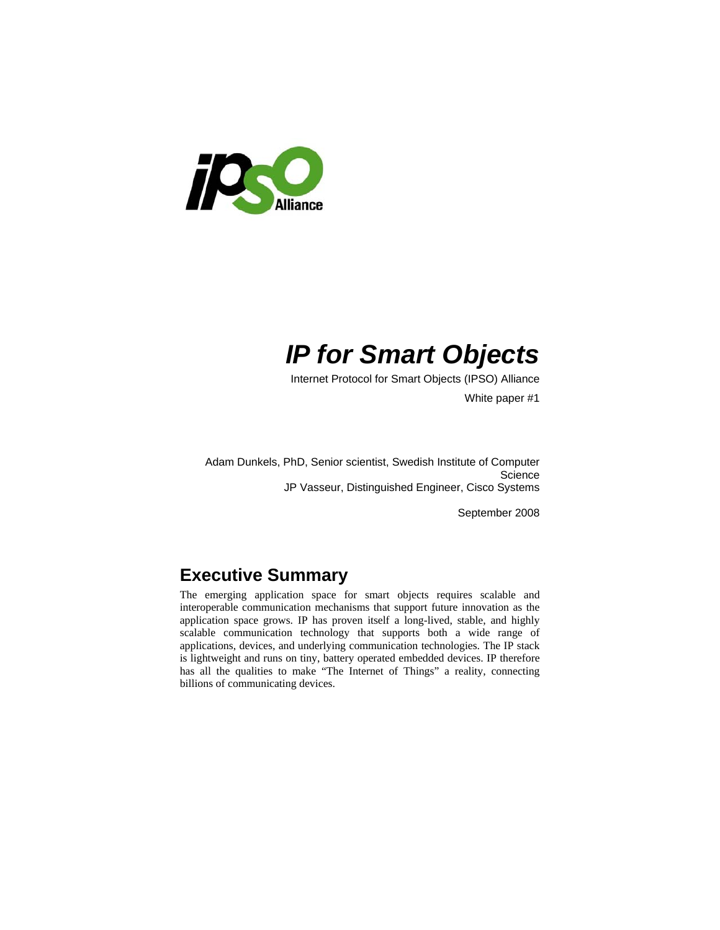

# *IP for Smart Objects*

Internet Protocol for Smart Objects (IPSO) Alliance

White paper #1

Adam Dunkels, PhD, Senior scientist, Swedish Institute of Computer **Science** JP Vasseur, Distinguished Engineer, Cisco Systems

September 2008

# **Executive Summary**

The emerging application space for smart objects requires scalable and interoperable communication mechanisms that support future innovation as the application space grows. IP has proven itself a long-lived, stable, and highly scalable communication technology that supports both a wide range of applications, devices, and underlying communication technologies. The IP stack is lightweight and runs on tiny, battery operated embedded devices. IP therefore has all the qualities to make "The Internet of Things" a reality, connecting billions of communicating devices.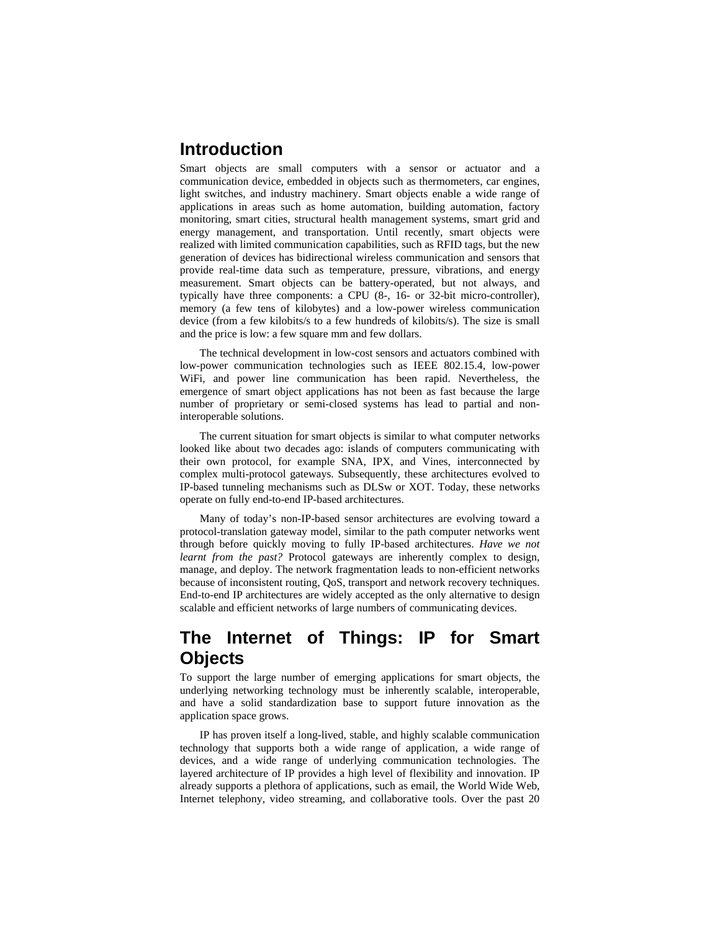### **Introduction**

Smart objects are small computers with a sensor or actuator and a communication device, embedded in objects such as thermometers, car engines, light switches, and industry machinery. Smart objects enable a wide range of applications in areas such as home automation, building automation, factory monitoring, smart cities, structural health management systems, smart grid and energy management, and transportation. Until recently, smart objects were realized with limited communication capabilities, such as RFID tags, but the new generation of devices has bidirectional wireless communication and sensors that provide real-time data such as temperature, pressure, vibrations, and energy measurement. Smart objects can be battery-operated, but not always, and typically have three components: a CPU (8-, 16- or 32-bit micro-controller), memory (a few tens of kilobytes) and a low-power wireless communication device (from a few kilobits/s to a few hundreds of kilobits/s). The size is small and the price is low: a few square mm and few dollars.

The technical development in low-cost sensors and actuators combined with low-power communication technologies such as IEEE 802.15.4, low-power WiFi, and power line communication has been rapid. Nevertheless, the emergence of smart object applications has not been as fast because the large number of proprietary or semi-closed systems has lead to partial and noninteroperable solutions.

The current situation for smart objects is similar to what computer networks looked like about two decades ago: islands of computers communicating with their own protocol, for example SNA, IPX, and Vines, interconnected by complex multi-protocol gateways. Subsequently, these architectures evolved to IP-based tunneling mechanisms such as DLSw or XOT. Today, these networks operate on fully end-to-end IP-based architectures.

Many of today's non-IP-based sensor architectures are evolving toward a protocol-translation gateway model, similar to the path computer networks went through before quickly moving to fully IP-based architectures. *Have we not learnt from the past?* Protocol gateways are inherently complex to design, manage, and deploy. The network fragmentation leads to non-efficient networks because of inconsistent routing, QoS, transport and network recovery techniques. End-to-end IP architectures are widely accepted as the only alternative to design scalable and efficient networks of large numbers of communicating devices.

## **The Internet of Things: IP for Smart Objects**

To support the large number of emerging applications for smart objects, the underlying networking technology must be inherently scalable, interoperable, and have a solid standardization base to support future innovation as the application space grows.

IP has proven itself a long-lived, stable, and highly scalable communication technology that supports both a wide range of application, a wide range of devices, and a wide range of underlying communication technologies. The layered architecture of IP provides a high level of flexibility and innovation. IP already supports a plethora of applications, such as email, the World Wide Web, Internet telephony, video streaming, and collaborative tools. Over the past 20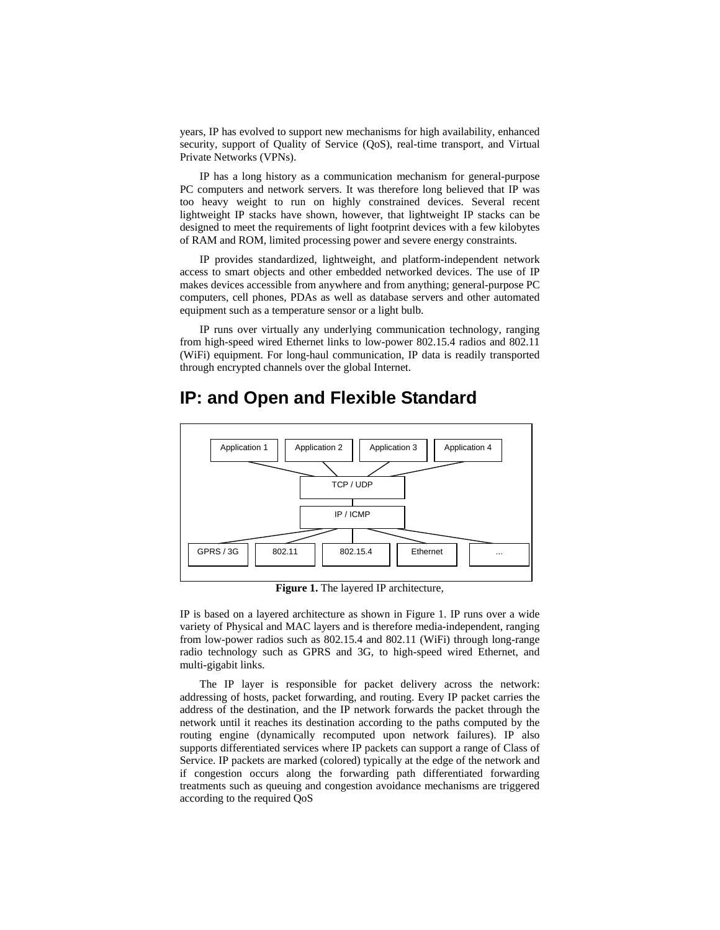years, IP has evolved to support new mechanisms for high availability, enhanced security, support of Quality of Service (QoS), real-time transport, and Virtual Private Networks (VPNs).

IP has a long history as a communication mechanism for general-purpose PC computers and network servers. It was therefore long believed that IP was too heavy weight to run on highly constrained devices. Several recent lightweight IP stacks have shown, however, that lightweight IP stacks can be designed to meet the requirements of light footprint devices with a few kilobytes of RAM and ROM, limited processing power and severe energy constraints.

IP provides standardized, lightweight, and platform-independent network access to smart objects and other embedded networked devices. The use of IP makes devices accessible from anywhere and from anything; general-purpose PC computers, cell phones, PDAs as well as database servers and other automated equipment such as a temperature sensor or a light bulb.

IP runs over virtually any underlying communication technology, ranging from high-speed wired Ethernet links to low-power 802.15.4 radios and 802.11 (WiFi) equipment. For long-haul communication, IP data is readily transported through encrypted channels over the global Internet.



## **IP: and Open and Flexible Standard**

**Figure 1.** The layered IP architecture,

IP is based on a layered architecture as shown in Figure 1. IP runs over a wide variety of Physical and MAC layers and is therefore media-independent, ranging from low-power radios such as 802.15.4 and 802.11 (WiFi) through long-range radio technology such as GPRS and 3G, to high-speed wired Ethernet, and multi-gigabit links.

The IP layer is responsible for packet delivery across the network: addressing of hosts, packet forwarding, and routing. Every IP packet carries the address of the destination, and the IP network forwards the packet through the network until it reaches its destination according to the paths computed by the routing engine (dynamically recomputed upon network failures). IP also supports differentiated services where IP packets can support a range of Class of Service. IP packets are marked (colored) typically at the edge of the network and if congestion occurs along the forwarding path differentiated forwarding treatments such as queuing and congestion avoidance mechanisms are triggered according to the required QoS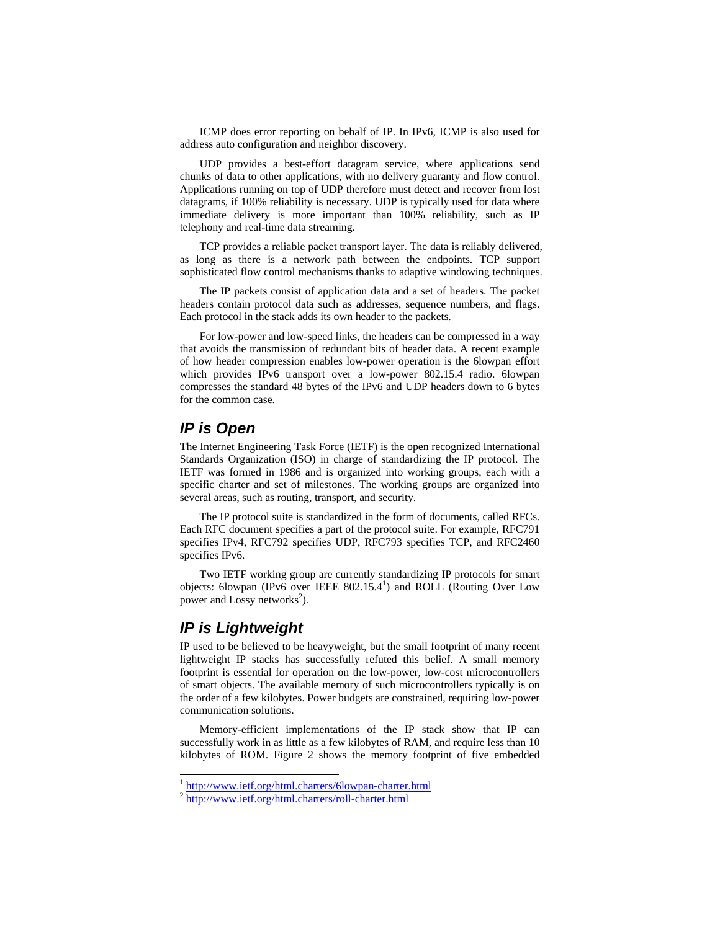ICMP does error reporting on behalf of IP. In IPv6, ICMP is also used for address auto configuration and neighbor discovery.

UDP provides a best-effort datagram service, where applications send chunks of data to other applications, with no delivery guaranty and flow control. Applications running on top of UDP therefore must detect and recover from lost datagrams, if 100% reliability is necessary. UDP is typically used for data where immediate delivery is more important than 100% reliability, such as IP telephony and real-time data streaming.

TCP provides a reliable packet transport layer. The data is reliably delivered, as long as there is a network path between the endpoints. TCP support sophisticated flow control mechanisms thanks to adaptive windowing techniques.

The IP packets consist of application data and a set of headers. The packet headers contain protocol data such as addresses, sequence numbers, and flags. Each protocol in the stack adds its own header to the packets.

For low-power and low-speed links, the headers can be compressed in a way that avoids the transmission of redundant bits of header data. A recent example of how header compression enables low-power operation is the 6lowpan effort which provides IPv6 transport over a low-power 802.15.4 radio. 6lowpan compresses the standard 48 bytes of the IPv6 and UDP headers down to 6 bytes for the common case.

#### *IP is Open*

The Internet Engineering Task Force (IETF) is the open recognized International Standards Organization (ISO) in charge of standardizing the IP protocol. The IETF was formed in 1986 and is organized into working groups, each with a specific charter and set of milestones. The working groups are organized into several areas, such as routing, transport, and security.

The IP protocol suite is standardized in the form of documents, called RFCs. Each RFC document specifies a part of the protocol suite. For example, RFC791 specifies IPv4, RFC792 specifies UDP, RFC793 specifies TCP, and RFC2460 specifies IPv6.

Two IETF working group are currently standardizing IP protocols for smart objects: 6lowpan (IPv6 over IEEE 802.15.4<sup>1</sup>) and ROLL (Routing Over Low power and Lossy networks<sup>2</sup>).

#### *IP is Lightweight*

l

IP used to be believed to be heavyweight, but the small footprint of many recent lightweight IP stacks has successfully refuted this belief. A small memory footprint is essential for operation on the low-power, low-cost microcontrollers of smart objects. The available memory of such microcontrollers typically is on the order of a few kilobytes. Power budgets are constrained, requiring low-power communication solutions.

Memory-efficient implementations of the IP stack show that IP can successfully work in as little as a few kilobytes of RAM, and require less than 10 kilobytes of ROM. Figure 2 shows the memory footprint of five embedded

<sup>1</sup> http://www.ietf.org/html.charters/6lowpan-charter.html

<sup>2</sup> http://www.ietf.org/html.charters/roll-charter.html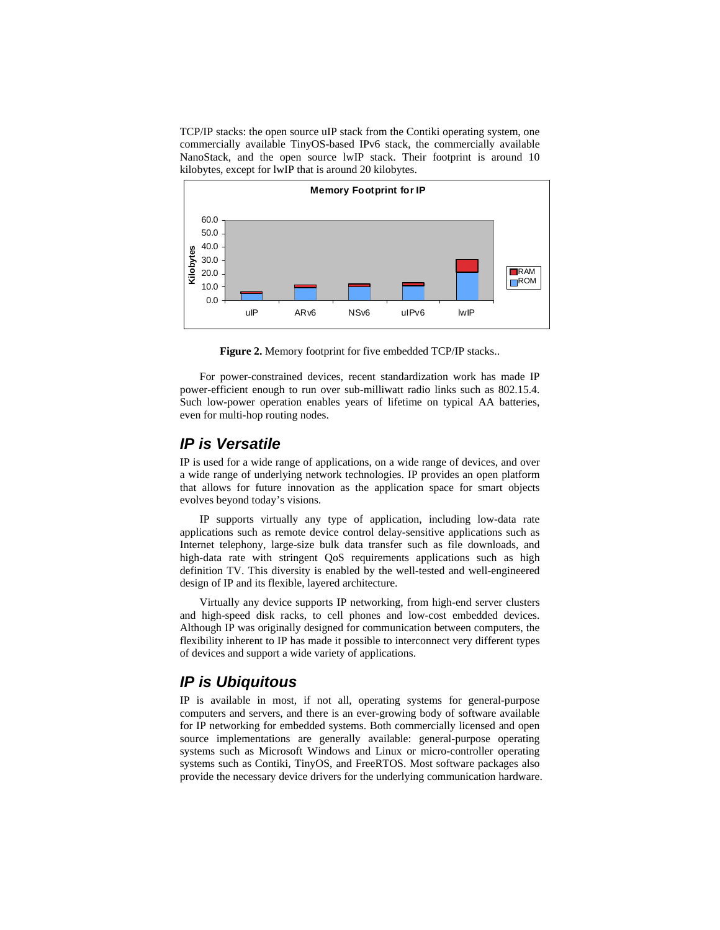TCP/IP stacks: the open source uIP stack from the Contiki operating system, one commercially available TinyOS-based IPv6 stack, the commercially available NanoStack, and the open source lwIP stack. Their footprint is around 10 kilobytes, except for lwIP that is around 20 kilobytes.



**Figure 2.** Memory footprint for five embedded TCP/IP stacks..

For power-constrained devices, recent standardization work has made IP power-efficient enough to run over sub-milliwatt radio links such as 802.15.4. Such low-power operation enables years of lifetime on typical AA batteries, even for multi-hop routing nodes.

#### *IP is Versatile*

IP is used for a wide range of applications, on a wide range of devices, and over a wide range of underlying network technologies. IP provides an open platform that allows for future innovation as the application space for smart objects evolves beyond today's visions.

IP supports virtually any type of application, including low-data rate applications such as remote device control delay-sensitive applications such as Internet telephony, large-size bulk data transfer such as file downloads, and high-data rate with stringent QoS requirements applications such as high definition TV. This diversity is enabled by the well-tested and well-engineered design of IP and its flexible, layered architecture.

Virtually any device supports IP networking, from high-end server clusters and high-speed disk racks, to cell phones and low-cost embedded devices. Although IP was originally designed for communication between computers, the flexibility inherent to IP has made it possible to interconnect very different types of devices and support a wide variety of applications.

#### *IP is Ubiquitous*

IP is available in most, if not all, operating systems for general-purpose computers and servers, and there is an ever-growing body of software available for IP networking for embedded systems. Both commercially licensed and open source implementations are generally available: general-purpose operating systems such as Microsoft Windows and Linux or micro-controller operating systems such as Contiki, TinyOS, and FreeRTOS. Most software packages also provide the necessary device drivers for the underlying communication hardware.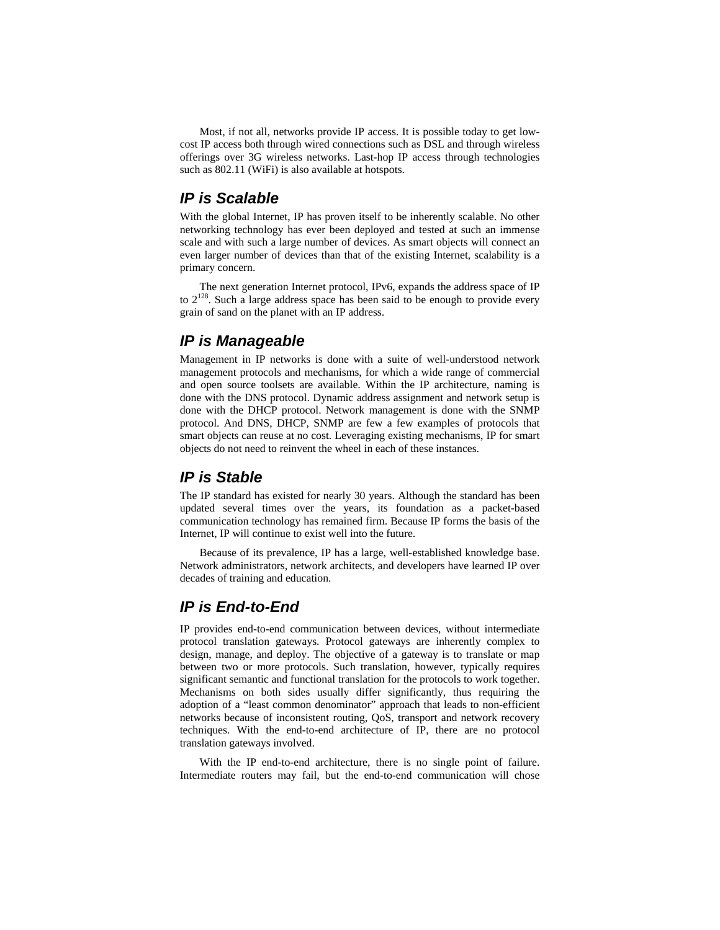Most, if not all, networks provide IP access. It is possible today to get lowcost IP access both through wired connections such as DSL and through wireless offerings over 3G wireless networks. Last-hop IP access through technologies such as 802.11 (WiFi) is also available at hotspots.

#### *IP is Scalable*

With the global Internet, IP has proven itself to be inherently scalable. No other networking technology has ever been deployed and tested at such an immense scale and with such a large number of devices. As smart objects will connect an even larger number of devices than that of the existing Internet, scalability is a primary concern.

The next generation Internet protocol, IPv6, expands the address space of IP to  $2^{128}$ . Such a large address space has been said to be enough to provide every grain of sand on the planet with an IP address.

#### *IP is Manageable*

Management in IP networks is done with a suite of well-understood network management protocols and mechanisms, for which a wide range of commercial and open source toolsets are available. Within the IP architecture, naming is done with the DNS protocol. Dynamic address assignment and network setup is done with the DHCP protocol. Network management is done with the SNMP protocol. And DNS, DHCP, SNMP are few a few examples of protocols that smart objects can reuse at no cost. Leveraging existing mechanisms, IP for smart objects do not need to reinvent the wheel in each of these instances.

#### *IP is Stable*

The IP standard has existed for nearly 30 years. Although the standard has been updated several times over the years, its foundation as a packet-based communication technology has remained firm. Because IP forms the basis of the Internet, IP will continue to exist well into the future.

Because of its prevalence, IP has a large, well-established knowledge base. Network administrators, network architects, and developers have learned IP over decades of training and education.

#### *IP is End-to-End*

IP provides end-to-end communication between devices, without intermediate protocol translation gateways. Protocol gateways are inherently complex to design, manage, and deploy. The objective of a gateway is to translate or map between two or more protocols. Such translation, however, typically requires significant semantic and functional translation for the protocols to work together. Mechanisms on both sides usually differ significantly, thus requiring the adoption of a "least common denominator" approach that leads to non-efficient networks because of inconsistent routing, QoS, transport and network recovery techniques. With the end-to-end architecture of IP, there are no protocol translation gateways involved.

With the IP end-to-end architecture, there is no single point of failure. Intermediate routers may fail, but the end-to-end communication will chose